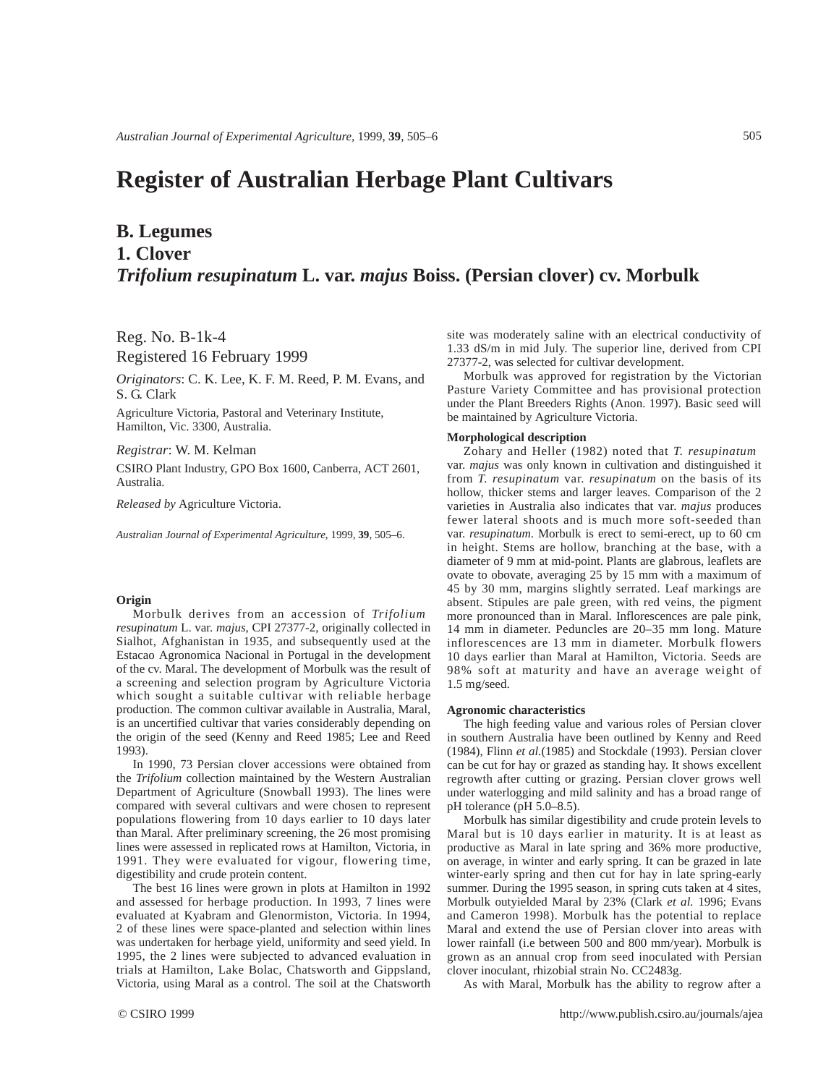# **Register of Australian Herbage Plant Cultivars**

## **B. Legumes 1. Clover**  *Trifolium resupinatum* **L. var.** *majus* **Boiss. (Persian clover) cv. Morbulk**

Reg. No. B-1k-4 Registered 16 February 1999

*Originators*: C. K. Lee, K. F. M. Reed, P. M. Evans, and S. G. Clark

Agriculture Victoria, Pastoral and Veterinary Institute, Hamilton, Vic. 3300, Australia.

*Registrar*: W. M. Kelman

CSIRO Plant Industry, GPO Box 1600, Canberra, ACT 2601, Australia.

*Released by* Agriculture Victoria.

*Australian Journal of Experimental Agriculture*, 1999, **39**, 505–6.

### **Origin**

Morbulk derives from an accession of *Trifolium resupinatum* L. var. *majus*, CPI 27377-2, originally collected in Sialhot, Afghanistan in 1935, and subsequently used at the Estacao Agronomica Nacional in Portugal in the development of the cv. Maral. The development of Morbulk was the result of a screening and selection program by Agriculture Victoria which sought a suitable cultivar with reliable herbage production. The common cultivar available in Australia, Maral, is an uncertified cultivar that varies considerably depending on the origin of the seed (Kenny and Reed 1985; Lee and Reed 1993).

In 1990, 73 Persian clover accessions were obtained from the *Trifolium* collection maintained by the Western Australian Department of Agriculture (Snowball 1993). The lines were compared with several cultivars and were chosen to represent populations flowering from 10 days earlier to 10 days later than Maral. After preliminary screening, the 26 most promising lines were assessed in replicated rows at Hamilton, Victoria, in 1991. They were evaluated for vigour, flowering time, digestibility and crude protein content.

The best 16 lines were grown in plots at Hamilton in 1992 and assessed for herbage production. In 1993, 7 lines were evaluated at Kyabram and Glenormiston, Victoria. In 1994, 2 of these lines were space-planted and selection within lines was undertaken for herbage yield, uniformity and seed yield. In 1995, the 2 lines were subjected to advanced evaluation in trials at Hamilton, Lake Bolac, Chatsworth and Gippsland, Victoria, using Maral as a control. The soil at the Chatsworth

site was moderately saline with an electrical conductivity of 1.33 dS/m in mid July. The superior line, derived from CPI 27377-2, was selected for cultivar development.

Morbulk was approved for registration by the Victorian Pasture Variety Committee and has provisional protection under the Plant Breeders Rights (Anon. 1997). Basic seed will be maintained by Agriculture Victoria.

### **Morphological description**

Zohary and Heller (1982) noted that *T. resupinatum* var. *majus* was only known in cultivation and distinguished it from *T. resupinatum* var. *resupinatum* on the basis of its hollow, thicker stems and larger leaves. Comparison of the 2 varieties in Australia also indicates that var. *majus* produces fewer lateral shoots and is much more soft-seeded than var. *resupinatum*. Morbulk is erect to semi-erect, up to 60 cm in height. Stems are hollow, branching at the base, with a diameter of 9 mm at mid-point. Plants are glabrous, leaflets are ovate to obovate, averaging 25 by 15 mm with a maximum of 45 by 30 mm, margins slightly serrated. Leaf markings are absent. Stipules are pale green, with red veins, the pigment more pronounced than in Maral. Inflorescences are pale pink, 14 mm in diameter. Peduncles are 20–35 mm long. Mature inflorescences are 13 mm in diameter. Morbulk flowers 10 days earlier than Maral at Hamilton, Victoria. Seeds are 98% soft at maturity and have an average weight of 1.5 mg/seed.

#### **Agronomic characteristics**

The high feeding value and various roles of Persian clover in southern Australia have been outlined by Kenny and Reed (1984), Flinn *et al.*(1985) and Stockdale (1993). Persian clover can be cut for hay or grazed as standing hay. It shows excellent regrowth after cutting or grazing. Persian clover grows well under waterlogging and mild salinity and has a broad range of pH tolerance (pH 5.0–8.5).

Morbulk has similar digestibility and crude protein levels to Maral but is 10 days earlier in maturity. It is at least as productive as Maral in late spring and 36% more productive, on average, in winter and early spring. It can be grazed in late winter-early spring and then cut for hay in late spring-early summer. During the 1995 season, in spring cuts taken at 4 sites, Morbulk outyielded Maral by 23% (Clark *et al.* 1996; Evans and Cameron 1998). Morbulk has the potential to replace Maral and extend the use of Persian clover into areas with lower rainfall (i.e between 500 and 800 mm/year). Morbulk is grown as an annual crop from seed inoculated with Persian clover inoculant, rhizobial strain No. CC2483g.

As with Maral, Morbulk has the ability to regrow after a